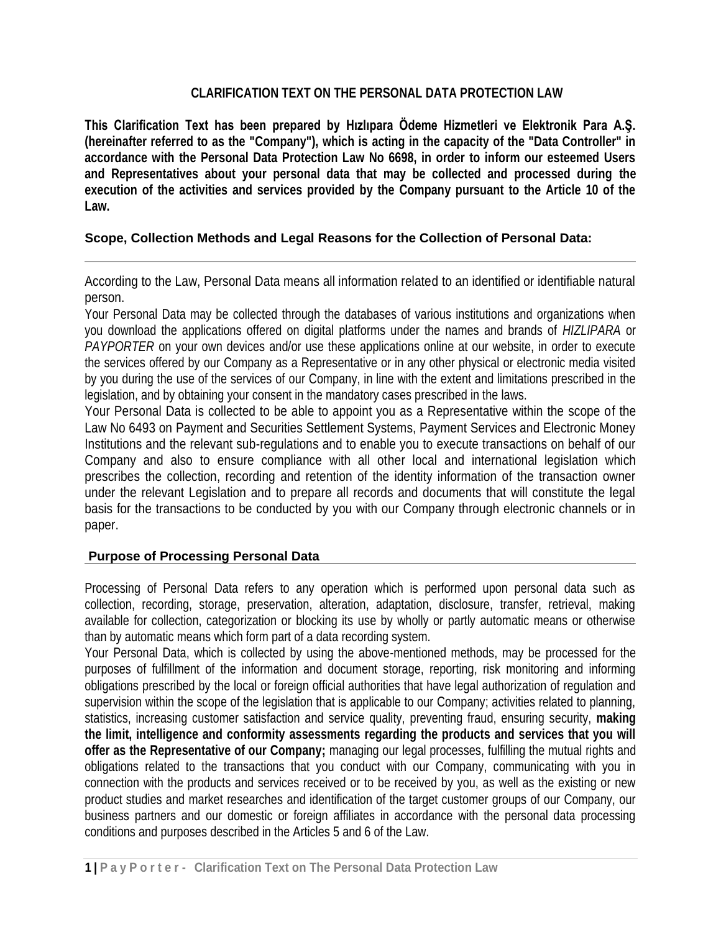## **CLARIFICATION TEXT ON THE PERSONAL DATA PROTECTION LAW**

**This Clarification Text has been prepared by Hızlıpara Ödeme Hizmetleri ve Elektronik Para A.Ş. (hereinafter referred to as the "Company"), which is acting in the capacity of the "Data Controller" in accordance with the Personal Data Protection Law No 6698, in order to inform our esteemed Users and Representatives about your personal data that may be collected and processed during the execution of the activities and services provided by the Company pursuant to the Article 10 of the Law.**

### **Scope, Collection Methods and Legal Reasons for the Collection of Personal Data:**

According to the Law, Personal Data means all information related to an identified or identifiable natural person.

Your Personal Data may be collected through the databases of various institutions and organizations when you download the applications offered on digital platforms under the names and brands of *HIZLIPARA* or *PAYPORTER* on your own devices and/or use these applications online at our website, in order to execute the services offered by our Company as a Representative or in any other physical or electronic media visited by you during the use of the services of our Company, in line with the extent and limitations prescribed in the legislation, and by obtaining your consent in the mandatory cases prescribed in the laws.

Your Personal Data is collected to be able to appoint you as a Representative within the scope of the Law No 6493 on Payment and Securities Settlement Systems, Payment Services and Electronic Money Institutions and the relevant sub-regulations and to enable you to execute transactions on behalf of our Company and also to ensure compliance with all other local and international legislation which prescribes the collection, recording and retention of the identity information of the transaction owner under the relevant Legislation and to prepare all records and documents that will constitute the legal basis for the transactions to be conducted by you with our Company through electronic channels or in paper.

# **Purpose of Processing Personal Data**

Processing of Personal Data refers to any operation which is performed upon personal data such as collection, recording, storage, preservation, alteration, adaptation, disclosure, transfer, retrieval, making available for collection, categorization or blocking its use by wholly or partly automatic means or otherwise than by automatic means which form part of a data recording system.

Your Personal Data, which is collected by using the above-mentioned methods, may be processed for the purposes of fulfillment of the information and document storage, reporting, risk monitoring and informing obligations prescribed by the local or foreign official authorities that have legal authorization of regulation and supervision within the scope of the legislation that is applicable to our Company; activities related to planning, statistics, increasing customer satisfaction and service quality, preventing fraud, ensuring security, **making the limit, intelligence and conformity assessments regarding the products and services that you will offer as the Representative of our Company;** managing our legal processes, fulfilling the mutual rights and obligations related to the transactions that you conduct with our Company, communicating with you in connection with the products and services received or to be received by you, as well as the existing or new product studies and market researches and identification of the target customer groups of our Company, our business partners and our domestic or foreign affiliates in accordance with the personal data processing conditions and purposes described in the Articles 5 and 6 of the Law.